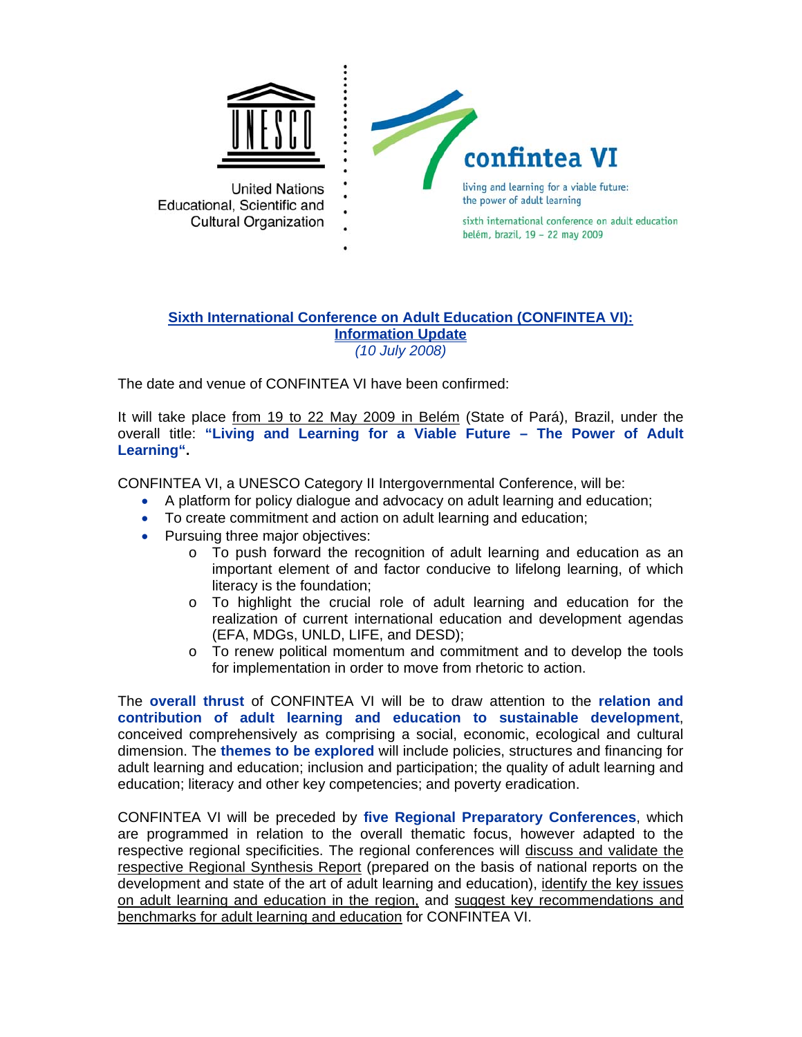

## **Sixth International Conference on Adult Education (CONFINTEA VI): Information Update** *(10 July 2008)*

The date and venue of CONFINTEA VI have been confirmed:

It will take place from 19 to 22 May 2009 in Belém (State of Pará), Brazil, under the overall title: **"Living and Learning for a Viable Future – The Power of Adult Learning".** 

CONFINTEA VI, a UNESCO Category II Intergovernmental Conference, will be:

- A platform for policy dialogue and advocacy on adult learning and education;
- To create commitment and action on adult learning and education;
- Pursuing three major objectives:
	- $\circ$  To push forward the recognition of adult learning and education as an important element of and factor conducive to lifelong learning, of which literacy is the foundation;
	- o To highlight the crucial role of adult learning and education for the realization of current international education and development agendas (EFA, MDGs, UNLD, LIFE, and DESD);
	- $\circ$  To renew political momentum and commitment and to develop the tools for implementation in order to move from rhetoric to action.

The **overall thrust** of CONFINTEA VI will be to draw attention to the **relation and contribution of adult learning and education to sustainable development**, conceived comprehensively as comprising a social, economic, ecological and cultural dimension. The **themes to be explored** will include policies, structures and financing for adult learning and education; inclusion and participation; the quality of adult learning and education; literacy and other key competencies; and poverty eradication.

CONFINTEA VI will be preceded by **five Regional Preparatory Conferences**, which are programmed in relation to the overall thematic focus, however adapted to the respective regional specificities. The regional conferences will discuss and validate the respective Regional Synthesis Report (prepared on the basis of national reports on the development and state of the art of adult learning and education), identify the key issues on adult learning and education in the region, and suggest key recommendations and benchmarks for adult learning and education for CONFINTEA VI.